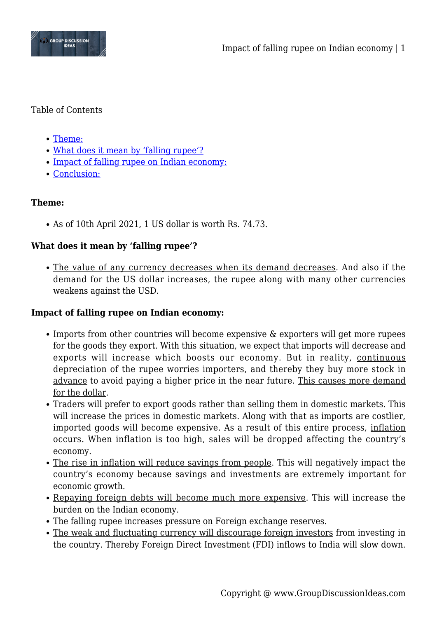

### Table of Contents

- [Theme:](#page--1-0)
- [What does it mean by 'falling rupee'?](#page--1-0)
- [Impact of falling rupee on Indian economy:](#page--1-0)
- [Conclusion:](#page--1-0)

# **Theme:**

As of 10th April 2021, 1 US dollar is worth Rs. 74.73.

# **What does it mean by 'falling rupee'?**

The value of any currency decreases when its demand decreases. And also if the demand for the US dollar increases, the rupee along with many other currencies weakens against the USD.

## **Impact of falling rupee on Indian economy:**

- Imports from other countries will become expensive & exporters will get more rupees for the goods they export. With this situation, we expect that imports will decrease and exports will increase which boosts our economy. But in reality, continuous depreciation of the rupee worries importers, and thereby they buy more stock in advance to avoid paying a higher price in the near future. This causes more demand for the dollar.
- Traders will prefer to export goods rather than selling them in domestic markets. This will increase the prices in domestic markets. Along with that as imports are costlier, imported goods will become expensive. As a result of this entire process, inflation occurs. When inflation is too high, sales will be dropped affecting the country's economy.
- The rise in inflation will reduce savings from people. This will negatively impact the country's economy because savings and investments are extremely important for economic growth.
- Repaying foreign debts will become much more expensive. This will increase the burden on the Indian economy.
- The falling rupee increases pressure on Foreign exchange reserves.
- The weak and fluctuating currency will discourage foreign investors from investing in the country. Thereby Foreign Direct Investment (FDI) inflows to India will slow down.